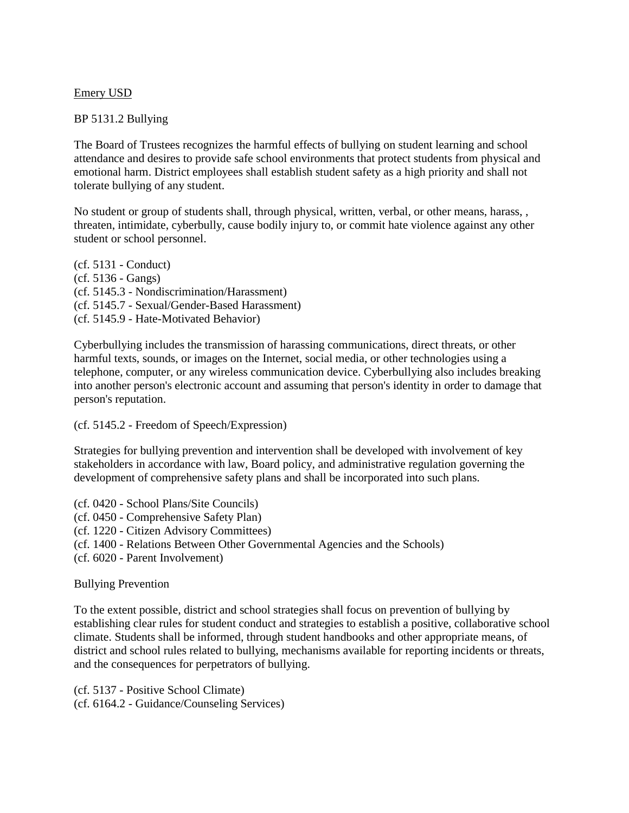# Emery USD

# BP 5131.2 Bullying

The Board of Trustees recognizes the harmful effects of bullying on student learning and school attendance and desires to provide safe school environments that protect students from physical and emotional harm. District employees shall establish student safety as a high priority and shall not tolerate bullying of any student.

No student or group of students shall, through physical, written, verbal, or other means, harass, , threaten, intimidate, cyberbully, cause bodily injury to, or commit hate violence against any other student or school personnel.

(cf. 5131 - Conduct) (cf. 5136 - Gangs) (cf. 5145.3 - Nondiscrimination/Harassment) (cf. 5145.7 - Sexual/Gender-Based Harassment) (cf. 5145.9 - Hate-Motivated Behavior)

Cyberbullying includes the transmission of harassing communications, direct threats, or other harmful texts, sounds, or images on the Internet, social media, or other technologies using a telephone, computer, or any wireless communication device. Cyberbullying also includes breaking into another person's electronic account and assuming that person's identity in order to damage that person's reputation.

## (cf. 5145.2 - Freedom of Speech/Expression)

Strategies for bullying prevention and intervention shall be developed with involvement of key stakeholders in accordance with law, Board policy, and administrative regulation governing the development of comprehensive safety plans and shall be incorporated into such plans.

- (cf. 0420 School Plans/Site Councils)
- (cf. 0450 Comprehensive Safety Plan)
- (cf. 1220 Citizen Advisory Committees)
- (cf. 1400 Relations Between Other Governmental Agencies and the Schools)
- (cf. 6020 Parent Involvement)

## Bullying Prevention

To the extent possible, district and school strategies shall focus on prevention of bullying by establishing clear rules for student conduct and strategies to establish a positive, collaborative school climate. Students shall be informed, through student handbooks and other appropriate means, of district and school rules related to bullying, mechanisms available for reporting incidents or threats, and the consequences for perpetrators of bullying.

(cf. 5137 - Positive School Climate) (cf. 6164.2 - Guidance/Counseling Services)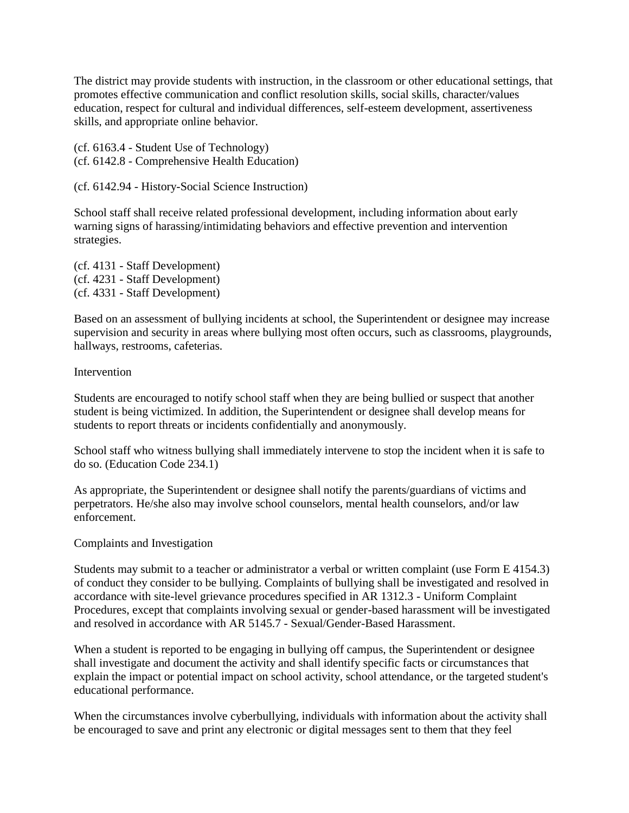The district may provide students with instruction, in the classroom or other educational settings, that promotes effective communication and conflict resolution skills, social skills, character/values education, respect for cultural and individual differences, self-esteem development, assertiveness skills, and appropriate online behavior.

(cf. 6163.4 - Student Use of Technology) (cf. 6142.8 - Comprehensive Health Education)

(cf. 6142.94 - History-Social Science Instruction)

School staff shall receive related professional development, including information about early warning signs of harassing/intimidating behaviors and effective prevention and intervention strategies.

(cf. 4131 - Staff Development) (cf. 4231 - Staff Development) (cf. 4331 - Staff Development)

Based on an assessment of bullying incidents at school, the Superintendent or designee may increase supervision and security in areas where bullying most often occurs, such as classrooms, playgrounds, hallways, restrooms, cafeterias.

## **Intervention**

Students are encouraged to notify school staff when they are being bullied or suspect that another student is being victimized. In addition, the Superintendent or designee shall develop means for students to report threats or incidents confidentially and anonymously.

School staff who witness bullying shall immediately intervene to stop the incident when it is safe to do so. (Education Code 234.1)

As appropriate, the Superintendent or designee shall notify the parents/guardians of victims and perpetrators. He/she also may involve school counselors, mental health counselors, and/or law enforcement.

## Complaints and Investigation

Students may submit to a teacher or administrator a verbal or written complaint (use Form E 4154.3) of conduct they consider to be bullying. Complaints of bullying shall be investigated and resolved in accordance with site-level grievance procedures specified in AR 1312.3 - Uniform Complaint Procedures, except that complaints involving sexual or gender-based harassment will be investigated and resolved in accordance with AR 5145.7 - Sexual/Gender-Based Harassment.

When a student is reported to be engaging in bullying off campus, the Superintendent or designee shall investigate and document the activity and shall identify specific facts or circumstances that explain the impact or potential impact on school activity, school attendance, or the targeted student's educational performance.

When the circumstances involve cyberbullying, individuals with information about the activity shall be encouraged to save and print any electronic or digital messages sent to them that they feel